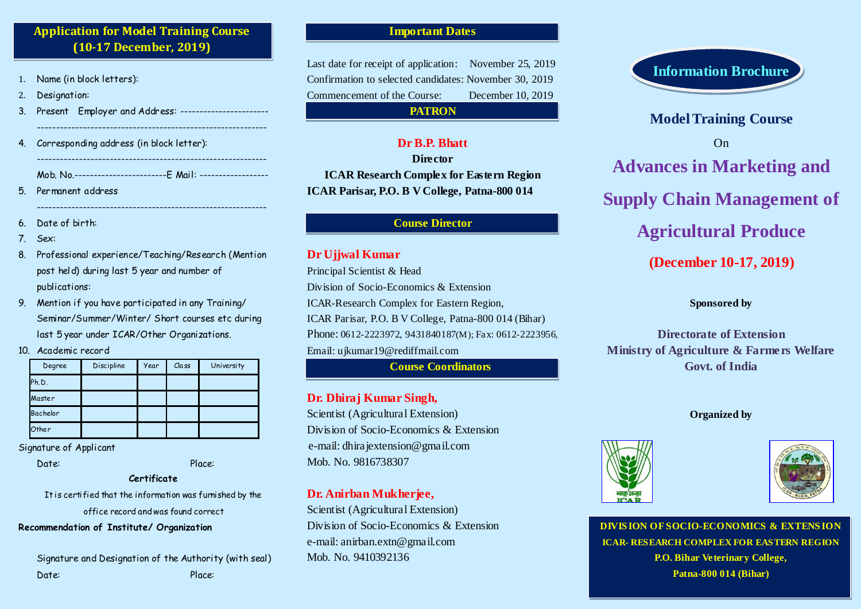# **Application for Model Training Course (10-17 December, 2019)**

- Name (in block letters):
- 2. Designation:
- 3. Present Employer and Address: -----------------------

------------------------------------------------------------

 $-$ 

4. Corresponding address (in block letter): ------------------------------------------------------------

Mob. No.------------------------E Mail: ------------------

- 5. Permanent address
- 6. Date of birth:
- 7. Sex:
- 8. Professional experience/Teaching/Research (Mention post held) during last 5 year and number of publications:
- 9. Mention if you have participated in any Training/ Seminar/Summer/Winter/ Short courses etc during last 5 year under ICAR/Other Organizations.
- 10. Academic record

| Degree   | Discipline | Year | Class | University |
|----------|------------|------|-------|------------|
| Ph.D.    |            |      |       |            |
| Master   |            |      |       |            |
| Bachelor |            |      |       |            |
| Other    |            |      |       |            |

Signature of Applicant

Date: Place:

### **Certificate**

It is certified that the information was furnished by the office record and was found correct

### **Recommendation of Institute/ Organization**

Signature and Designation of the Authority (with seal) Date: Place:

### **Important Dates**

Last date for receipt of application: November 25, 2019 Confirmation to selected candidates: November 30, 2019 Commencement of the Course: December 10, 2019 **PATRON**

## **Dr B.P. Bhatt**

**Director ICAR Research Complex for Eastern Region ICAR Parisar, P.O. B V College, Patna-800 014** 

### **Course Director**

### **Dr Ujjwal Kumar**

Principal Scientist & Head Division of Socio-Economics & Extension ICAR-Research Complex for Eastern Region, ICAR Parisar, P.O. B V College, Patna-800 014 (Bihar) Phone: 0612-2223972, 9431840187(M); Fax: 0612-2223956, Email: ujkumar19@rediffmail.com **Course Coordinators**

## **Dr. Dhiraj Kumar Singh,**

Scientist (Agricultural Extension) Division of Socio-Economics & Extension e-mail: [dhirajextension@gmail.com](mailto:dhirajextension@gmail.com) Mob. No. 9816738307

## **Dr. Anirban Mukherjee,**

Scientist (Agricultural Extension) Division of Socio-Economics & Extension e-mail: anirban.extn@gmail.com Mob. No. 9410392136



# **Model Training Course** On **Advances in Marketing and Supply Chain Management of Agricultural Produce (December 10-17, 2019)**

### **Sponsored by**

**Directorate of Extension Ministry of Agriculture & Farmers Welfare Govt. of India**

### **Organized by**





**DIVIS ION OF SOCIO-ECONOMICS & EXTENS ION ICAR- RESEARCH COMPLEX FOR EASTERN REGION P.O. Bihar Veterinary College, Patna-800 014 (Bihar)**